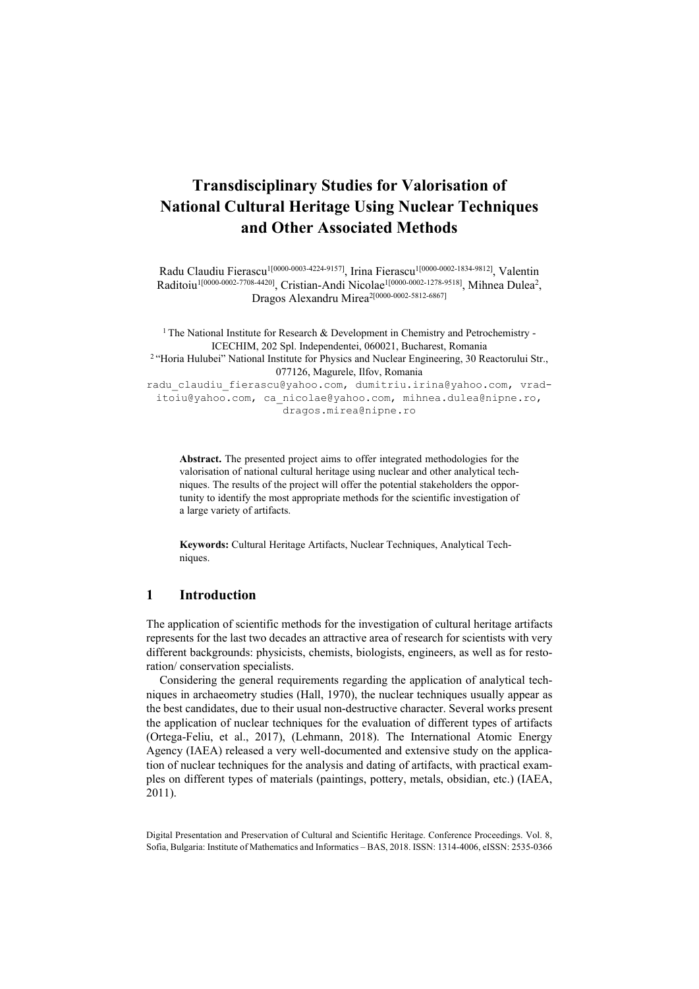# **Transdisciplinary Studies for Valorisation of National Cultural Heritage Using Nuclear Techniques and Other Associated Methods**

Radu Claudiu Fierascu<sup>1[0000-0003-4224-9157]</sup>, Irina Fierascu<sup>1[0000-0002-1834-9812]</sup>, Valentin Raditoiu<sup>1[0000-0002-7708-4420]</sup>, Cristian-Andi Nicolae<sup>1[0000-0002-1278-9518]</sup>, Mihnea Dulea<sup>2</sup>, Dragos Alexandru Mirea2[0000-0002-5812-6867]

<sup>1</sup> The National Institute for Research  $\&$  Development in Chemistry and Petrochemistry -ICECHIM, 202 Spl. Independentei, 060021, Bucharest, Romania 2 "Horia Hulubei" National Institute for Physics and Nuclear Engineering, 30 Reactorului Str., 077126, Magurele, Ilfov, Romania radu\_claudiu\_fierascu@yahoo.com, dumitriu.irina@yahoo.com, vraditoiu@yahoo.com, ca\_nicolae@yahoo.com, mihnea.dulea@nipne.ro, dragos.mirea@nipne.ro

**Abstract.** The presented project aims to offer integrated methodologies for the valorisation of national cultural heritage using nuclear and other analytical techniques. The results of the project will offer the potential stakeholders the opportunity to identify the most appropriate methods for the scientific investigation of a large variety of artifacts.

**Keywords:** Cultural Heritage Artifacts, Nuclear Techniques, Analytical Techniques.

# **1 Introduction**

The application of scientific methods for the investigation of cultural heritage artifacts represents for the last two decades an attractive area of research for scientists with very different backgrounds: physicists, chemists, biologists, engineers, as well as for restoration/ conservation specialists.

Considering the general requirements regarding the application of analytical techniques in archaeometry studies (Hall, 1970), the nuclear techniques usually appear as the best candidates, due to their usual non-destructive character. Several works present the application of nuclear techniques for the evaluation of different types of artifacts (Ortega-Feliu, et al., 2017), (Lehmann, 2018). The International Atomic Energy Agency (IAEA) released a very well-documented and extensive study on the application of nuclear techniques for the analysis and dating of artifacts, with practical examples on different types of materials (paintings, pottery, metals, obsidian, etc.) (IAEA, 2011).

Digital Presentation and Preservation of Cultural and Scientific Heritage. Conference Proceedings. Vol. 8, Sofia, Bulgaria: Institute of Mathematics and Informatics – BAS, 2018. ISSN: 1314-4006, eISSN: 2535-0366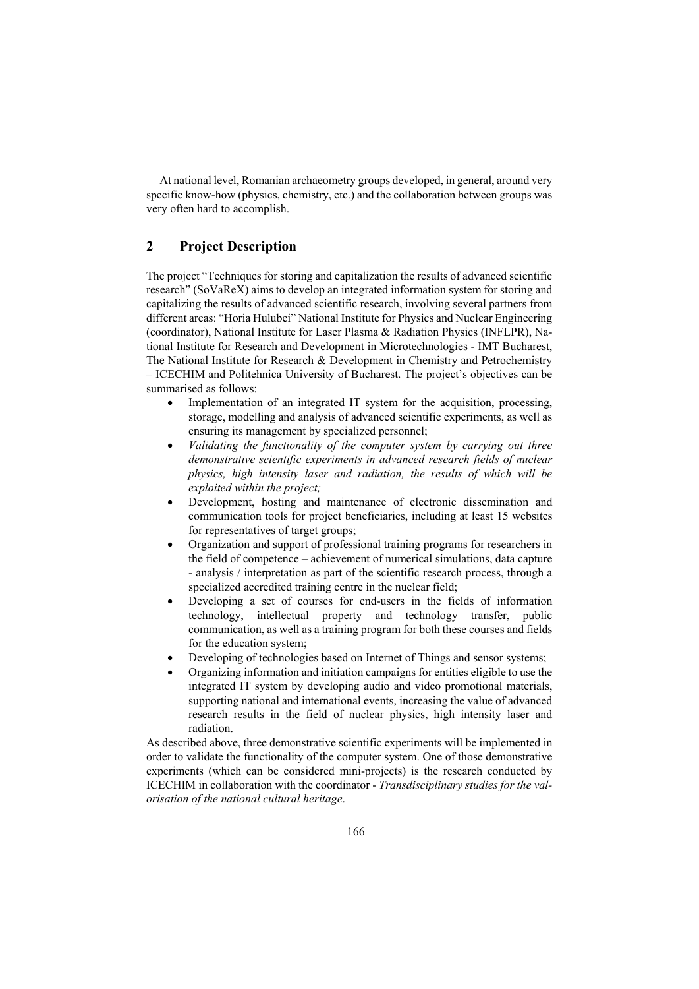At national level, Romanian archaeometry groups developed, in general, around very specific know-how (physics, chemistry, etc.) and the collaboration between groups was very often hard to accomplish.

# **2 Project Description**

The project "Techniques for storing and capitalization the results of advanced scientific research" (SoVaReX) aims to develop an integrated information system for storing and capitalizing the results of advanced scientific research, involving several partners from different areas: "Horia Hulubei" National Institute for Physics and Nuclear Engineering (coordinator), National Institute for Laser Plasma & Radiation Physics (INFLPR), National Institute for Research and Development in Microtechnologies - IMT Bucharest, The National Institute for Research & Development in Chemistry and Petrochemistry – ICECHIM and Politehnica University of Bucharest. The project's objectives can be summarised as follows:

- Implementation of an integrated IT system for the acquisition, processing, storage, modelling and analysis of advanced scientific experiments, as well as ensuring its management by specialized personnel;
- *Validating the functionality of the computer system by carrying out three demonstrative scientific experiments in advanced research fields of nuclear physics, high intensity laser and radiation, the results of which will be exploited within the project;*
- Development, hosting and maintenance of electronic dissemination and communication tools for project beneficiaries, including at least 15 websites for representatives of target groups;
- Organization and support of professional training programs for researchers in the field of competence – achievement of numerical simulations, data capture - analysis / interpretation as part of the scientific research process, through a specialized accredited training centre in the nuclear field;
- Developing a set of courses for end-users in the fields of information technology, intellectual property and technology transfer, public communication, as well as a training program for both these courses and fields for the education system;
- Developing of technologies based on Internet of Things and sensor systems;
- Organizing information and initiation campaigns for entities eligible to use the integrated IT system by developing audio and video promotional materials, supporting national and international events, increasing the value of advanced research results in the field of nuclear physics, high intensity laser and radiation.

As described above, three demonstrative scientific experiments will be implemented in order to validate the functionality of the computer system. One of those demonstrative experiments (which can be considered mini-projects) is the research conducted by ICECHIM in collaboration with the coordinator - *Transdisciplinary studies for the valorisation of the national cultural heritage*.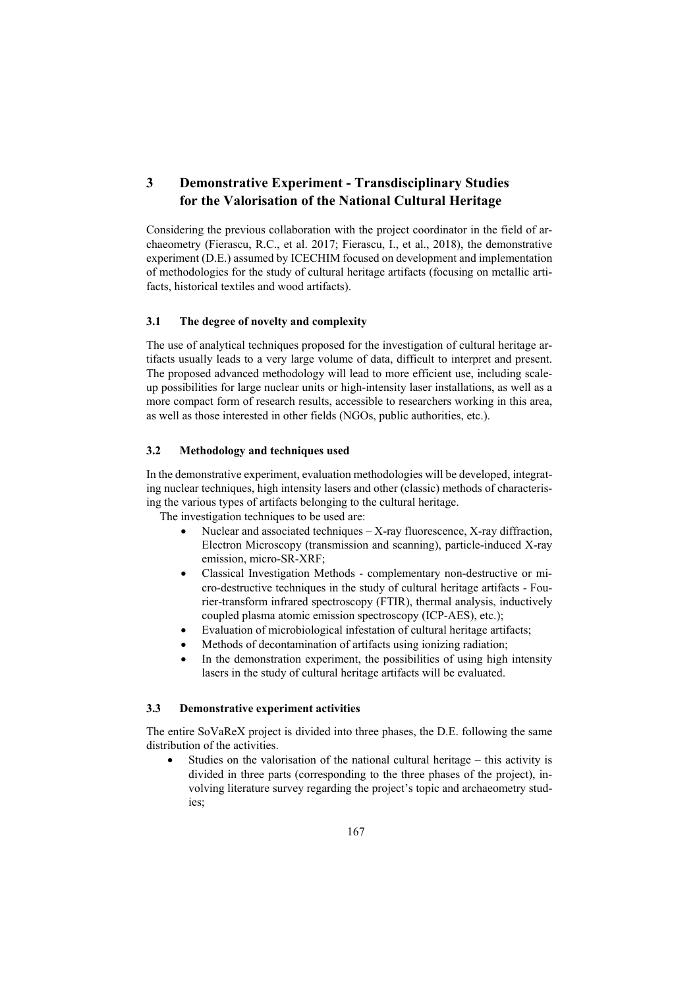# **3 Demonstrative Experiment - Transdisciplinary Studies for the Valorisation of the National Cultural Heritage**

Considering the previous collaboration with the project coordinator in the field of archaeometry (Fierascu, R.C., et al. 2017; Fierascu, I., et al., 2018), the demonstrative experiment (D.E.) assumed by ICECHIM focused on development and implementation of methodologies for the study of cultural heritage artifacts (focusing on metallic artifacts, historical textiles and wood artifacts).

### **3.1 The degree of novelty and complexity**

The use of analytical techniques proposed for the investigation of cultural heritage artifacts usually leads to a very large volume of data, difficult to interpret and present. The proposed advanced methodology will lead to more efficient use, including scaleup possibilities for large nuclear units or high-intensity laser installations, as well as a more compact form of research results, accessible to researchers working in this area, as well as those interested in other fields (NGOs, public authorities, etc.).

#### **3.2 Methodology and techniques used**

In the demonstrative experiment, evaluation methodologies will be developed, integrating nuclear techniques, high intensity lasers and other (classic) methods of characterising the various types of artifacts belonging to the cultural heritage.

The investigation techniques to be used are:

- Nuclear and associated techniques X-ray fluorescence, X-ray diffraction, Electron Microscopy (transmission and scanning), particle-induced X-ray emission, micro-SR-XRF;
- Classical Investigation Methods complementary non-destructive or micro-destructive techniques in the study of cultural heritage artifacts - Fourier-transform infrared spectroscopy (FTIR), thermal analysis, inductively coupled plasma atomic emission spectroscopy (ICP-AES), etc.);
- Evaluation of microbiological infestation of cultural heritage artifacts;
- Methods of decontamination of artifacts using ionizing radiation;
- In the demonstration experiment, the possibilities of using high intensity lasers in the study of cultural heritage artifacts will be evaluated.

#### **3.3 Demonstrative experiment activities**

The entire SoVaReX project is divided into three phases, the D.E. following the same distribution of the activities.

 Studies on the valorisation of the national cultural heritage – this activity is divided in three parts (corresponding to the three phases of the project), involving literature survey regarding the project's topic and archaeometry studies;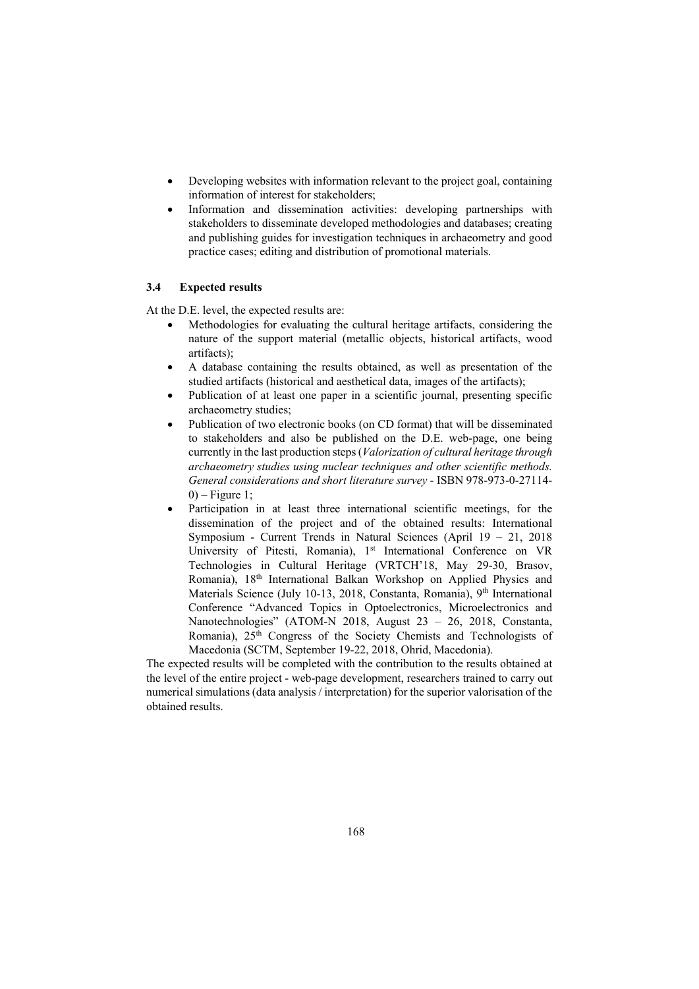- Developing websites with information relevant to the project goal, containing information of interest for stakeholders;
- Information and dissemination activities: developing partnerships with stakeholders to disseminate developed methodologies and databases; creating and publishing guides for investigation techniques in archaeometry and good practice cases; editing and distribution of promotional materials.

#### **3.4 Expected results**

At the D.E. level, the expected results are:

- Methodologies for evaluating the cultural heritage artifacts, considering the nature of the support material (metallic objects, historical artifacts, wood artifacts);
- A database containing the results obtained, as well as presentation of the studied artifacts (historical and aesthetical data, images of the artifacts);
- Publication of at least one paper in a scientific journal, presenting specific archaeometry studies;
- Publication of two electronic books (on CD format) that will be disseminated to stakeholders and also be published on the D.E. web-page, one being currently in the last production steps (*Valorization of cultural heritage through archaeometry studies using nuclear techniques and other scientific methods. General considerations and short literature survey* - ISBN 978-973-0-27114-  $0$ ) – Figure 1;
- Participation in at least three international scientific meetings, for the dissemination of the project and of the obtained results: International Symposium - Current Trends in Natural Sciences (April 19 – 21, 2018 University of Pitesti, Romania), 1<sup>st</sup> International Conference on VR Technologies in Cultural Heritage (VRTCH'18, May 29-30, Brasov, Romania), 18th International Balkan Workshop on Applied Physics and Materials Science (July 10-13, 2018, Constanta, Romania), 9<sup>th</sup> International Conference "Advanced Topics in Optoelectronics, Microelectronics and Nanotechnologies" (ATOM-N 2018, August 23 – 26, 2018, Constanta, Romania), 25<sup>th</sup> Congress of the Society Chemists and Technologists of Macedonia (SCTM, September 19-22, 2018, Ohrid, Macedonia).

The expected results will be completed with the contribution to the results obtained at the level of the entire project - web-page development, researchers trained to carry out numerical simulations (data analysis / interpretation) for the superior valorisation of the obtained results.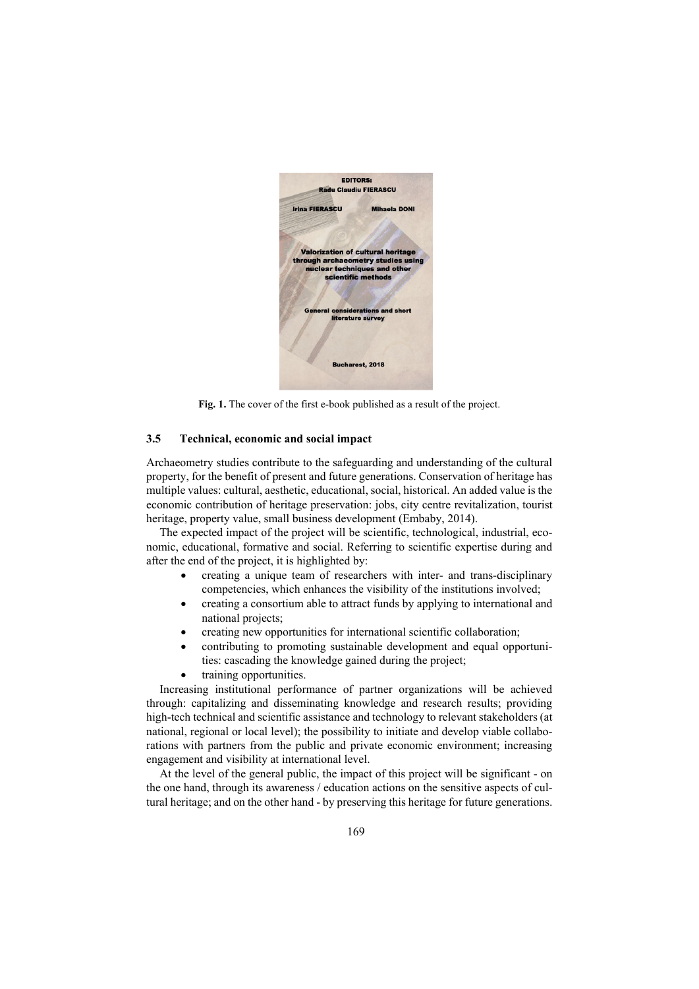

**Fig. 1.** The cover of the first e-book published as a result of the project.

#### **3.5 Technical, economic and social impact**

Archaeometry studies contribute to the safeguarding and understanding of the cultural property, for the benefit of present and future generations. Conservation of heritage has multiple values: cultural, aesthetic, educational, social, historical. An added value is the economic contribution of heritage preservation: jobs, city centre revitalization, tourist heritage, property value, small business development (Embaby, 2014).

The expected impact of the project will be scientific, technological, industrial, economic, educational, formative and social. Referring to scientific expertise during and after the end of the project, it is highlighted by:

- creating a unique team of researchers with inter- and trans-disciplinary competencies, which enhances the visibility of the institutions involved;
- creating a consortium able to attract funds by applying to international and national projects;
- creating new opportunities for international scientific collaboration;
- contributing to promoting sustainable development and equal opportunities: cascading the knowledge gained during the project;
- training opportunities.

Increasing institutional performance of partner organizations will be achieved through: capitalizing and disseminating knowledge and research results; providing high-tech technical and scientific assistance and technology to relevant stakeholders (at national, regional or local level); the possibility to initiate and develop viable collaborations with partners from the public and private economic environment; increasing engagement and visibility at international level.

At the level of the general public, the impact of this project will be significant - on the one hand, through its awareness / education actions on the sensitive aspects of cultural heritage; and on the other hand - by preserving this heritage for future generations.